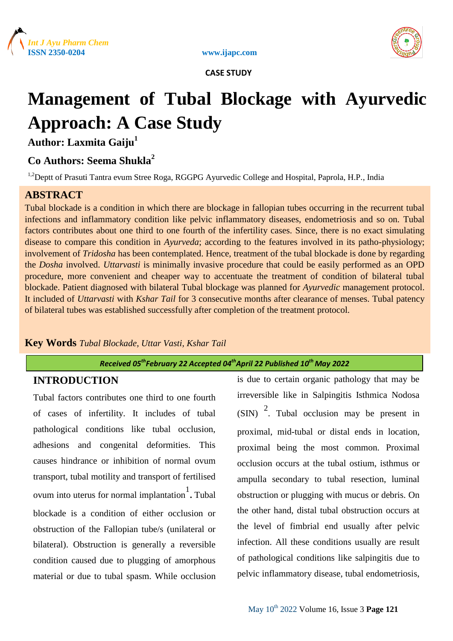





# **Management of Tubal Blockage with Ayurvedic Approach: A Case Study**

**Author: Laxmita Gaiju<sup>1</sup>**

### **Co Authors: Seema Shukla<sup>2</sup>**

<sup>1,2</sup>Deptt of Prasuti Tantra evum Stree Roga, RGGPG Ayurvedic College and Hospital, Paprola, H.P., India

## **ABSTRACT**

Tubal blockade is a condition in which there are blockage in fallopian tubes occurring in the recurrent tubal infections and inflammatory condition like pelvic inflammatory diseases, endometriosis and so on. Tubal factors contributes about one third to one fourth of the infertility cases. Since, there is no exact simulating disease to compare this condition in *Ayurveda*; according to the features involved in its patho-physiology; involvement of *Tridosha* has been contemplated. Hence, treatment of the tubal blockade is done by regarding the *Dosha* involved. *Uttarvasti* is minimally invasive procedure that could be easily performed as an OPD procedure, more convenient and cheaper way to accentuate the treatment of condition of bilateral tubal blockade. Patient diagnosed with bilateral Tubal blockage was planned for *Ayurvedic* management protocol. It included of *Uttarvasti* with *Kshar Tail* for 3 consecutive months after clearance of menses. Tubal patency of bilateral tubes was established successfully after completion of the treatment protocol.

### **Key Words** *Tubal Blockade, Uttar Vasti, Kshar Tail*

### *Received 05thFebruary 22 Accepted 04 thApril 22 Published 10th May 2022*

### **INTRODUCTION**

Tubal factors contributes one third to one fourth of cases of infertility. It includes of tubal pathological conditions like tubal occlusion, adhesions and congenital deformities. This causes hindrance or inhibition of normal ovum transport, tubal motility and transport of fertilised ovum into uterus for normal implantation  $\cdot$ . Tubal blockade is a condition of either occlusion or obstruction of the Fallopian tube/s (unilateral or bilateral). Obstruction is generally a reversible condition caused due to plugging of amorphous material or due to tubal spasm. While occlusion

is due to certain organic pathology that may be irreversible like in Salpingitis Isthmica Nodosa  $(SIN)^2$ . Tubal occlusion may be present in proximal, mid-tubal or distal ends in location, proximal being the most common. Proximal occlusion occurs at the tubal ostium, isthmus or ampulla secondary to tubal resection, luminal obstruction or plugging with mucus or debris. On the other hand, distal tubal obstruction occurs at the level of fimbrial end usually after pelvic infection. All these conditions usually are result of pathological conditions like salpingitis due to pelvic inflammatory disease, tubal endometriosis,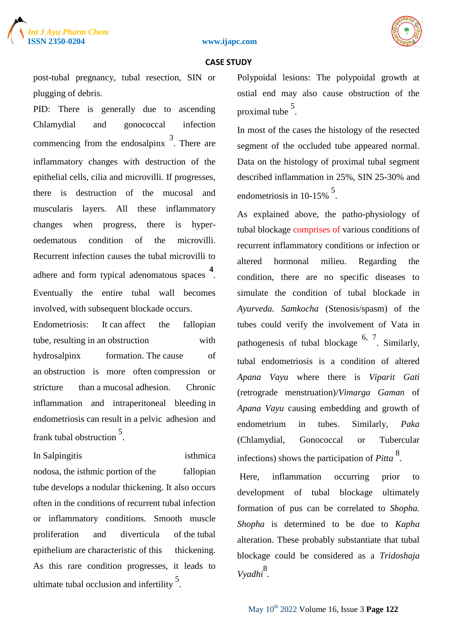



post-tubal pregnancy, tubal resection, SIN or plugging of debris.

PID: There is generally due to ascending Chlamydial and gonococcal infection commencing from the endosalpinx  $\frac{3}{2}$ . There are inflammatory changes with destruction of the epithelial cells, cilia and microvilli. If progresses, there is destruction of the mucosal and muscularis layers. All these inflammatory changes when progress, there is hyperoedematous condition of the microvilli. Recurrent infection causes the tubal microvilli to adhere and form typical adenomatous spaces **<sup>4</sup>** . Eventually the entire tubal wall becomes involved, with subsequent blockade occurs.

Endometriosis: It can affect the fallopian tube, resulting in an obstruction with hydrosalpinx formation. The cause of an obstruction is more often compression or stricture than a mucosal adhesion. Chronic inflammation and intraperitoneal bleeding in endometriosis can result in a pelvic adhesion and frank tubal obstruction <sup>5</sup> .

In Salpingitis isthmica nodosa, the isthmic portion of the fallopian tube develops a nodular thickening. It also occurs often in the conditions of recurrent tubal infection or inflammatory conditions. Smooth muscle proliferation and diverticula of the tubal epithelium are characteristic of this thickening. As this rare condition progresses, it leads to ultimate tubal occlusion and infertility<sup>5</sup>.

Polypoidal lesions: The polypoidal growth at ostial end may also cause obstruction of the proximal tube <sup>5</sup>.

In most of the cases the histology of the resected segment of the occluded tube appeared normal. Data on the histology of proximal tubal segment described inflammation in 25%, SIN 25-30% and endometriosis in  $10-15\%$ <sup>5</sup>.

As explained above, the patho-physiology of tubal blockage comprises of various conditions of recurrent inflammatory conditions or infection or altered hormonal milieu. Regarding the condition, there are no specific diseases to simulate the condition of tubal blockade in *Ayurveda. Samkocha* (Stenosis/spasm) of the tubes could verify the involvement of Vata in pathogenesis of tubal blockage <sup>6, 7</sup>. Similarly, tubal endometriosis is a condition of altered *Apana Vayu* where there is *Viparit Gati* (retrograde menstruation)/*Vimarga Gaman* of *Apana Vayu* causing embedding and growth of endometrium in tubes. Similarly, *Paka* (Chlamydial, Gonococcal or Tubercular infections) shows the participation of *Pitta* <sup>8</sup> .

Here, inflammation occurring prior to development of tubal blockage ultimately formation of pus can be correlated to *Shopha. Shopha* is determined to be due to *Kapha*  alteration. These probably substantiate that tubal blockage could be considered as a *Tridoshaja*  Vyadhi<sup>8</sup>.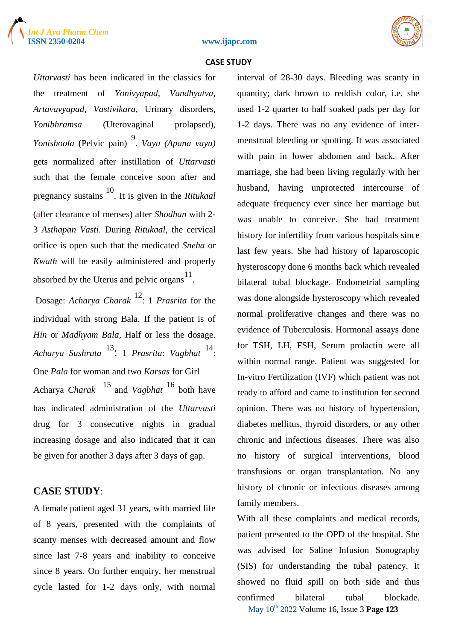





*Uttarvasti* has been indicated in the classics for the treatment of *Yonivyapad, Vandhyatva, Artavavyapad, Vastivikara,* Urinary disorders, *Yonibhramsa* (Uterovaginal prolapsed), *Yonishoola* (Pelvic pain) <sup>9</sup> . *Vayu (Apana vayu)* gets normalized after instillation of *Uttarvasti*  such that the female conceive soon after and pregnancy sustains <sup>10</sup>. It is given in the *Ritukaal* (after clearance of menses) after *Shodhan* with 2- 3 *Asthapan Vasti*. During *Ritukaal*, the cervical orifice is open such that the medicated *Sneha* or *Kwath* will be easily administered and properly absorbed by the Uterus and pelvic organs  $11$ .

Dosage: *Acharya Charak* <sup>12</sup> : 1 *Prasrita* for the individual with strong Bala. If the patient is of *Hin* or *Madhyam Bala*, Half or less the dosage. *Acharya Sushruta* <sup>13</sup> : <sup>1</sup>*Prasrita*: *Vagbhat* <sup>14</sup> : One *Pala* for woman and two *Karsas* for Girl Acharya *Charak* <sup>15</sup>and *Vagbhat* <sup>16</sup> both have has indicated administration of the *Uttarvasti* drug for 3 consecutive nights in gradual increasing dosage and also indicated that it can be given for another 3 days after 3 days of gap.

### **CASE STUDY**:

A female patient aged 31 years, with married life of 8 years, presented with the complaints of scanty menses with decreased amount and flow since last 7-8 years and inability to conceive since 8 years. On further enquiry, her menstrual cycle lasted for 1-2 days only, with normal

interval of 28-30 days. Bleeding was scanty in quantity; dark brown to reddish color, i.e. she used 1-2 quarter to half soaked pads per day for 1-2 days. There was no any evidence of intermenstrual bleeding or spotting. It was associated with pain in lower abdomen and back. After marriage, she had been living regularly with her husband, having unprotected intercourse of adequate frequency ever since her marriage but was unable to conceive. She had treatment history for infertility from various hospitals since last few years. She had history of laparoscopic hysteroscopy done 6 months back which revealed bilateral tubal blockage. Endometrial sampling was done alongside hysteroscopy which revealed normal proliferative changes and there was no evidence of Tuberculosis. Hormonal assays done for TSH, LH, FSH, Serum prolactin were all within normal range. Patient was suggested for In-vitro Fertilization (IVF) which patient was not ready to afford and came to institution for second opinion. There was no history of hypertension, diabetes mellitus, thyroid disorders, or any other chronic and infectious diseases. There was also no history of surgical interventions, blood transfusions or organ transplantation. No any history of chronic or infectious diseases among family members.

May 10th 2022 Volume 16, Issue 3 **Page 123** With all these complaints and medical records, patient presented to the OPD of the hospital. She was advised for Saline Infusion Sonography (SIS) for understanding the tubal patency. It showed no fluid spill on both side and thus confirmed bilateral tubal blockade.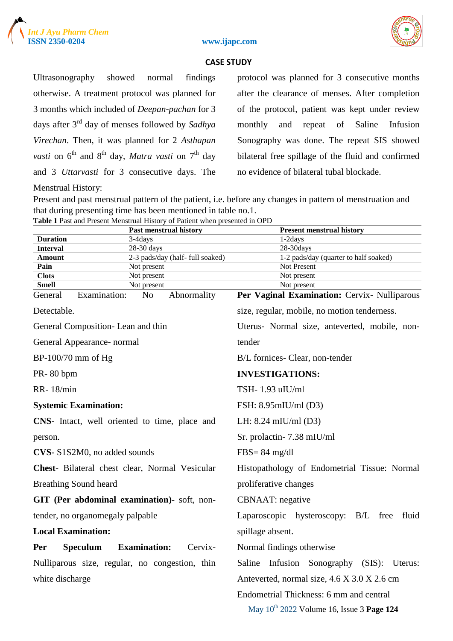





Ultrasonography showed normal findings otherwise. A treatment protocol was planned for 3 months which included of *Deepan-pachan* for 3 days after 3rd day of menses followed by *Sadhya Virechan*. Then, it was planned for 2 *Asthapan vasti* on  $6^{th}$  and  $8^{th}$  day, *Matra vasti* on  $7^{th}$  day and 3 *Uttarvasti* for 3 consecutive days. The Menstrual History:

protocol was planned for 3 consecutive months after the clearance of menses. After completion of the protocol, patient was kept under review monthly and repeat of Saline Infusion Sonography was done. The repeat SIS showed bilateral free spillage of the fluid and confirmed no evidence of bilateral tubal blockade.

Present and past menstrual pattern of the patient, i.e. before any changes in pattern of menstruation and that during presenting time has been mentioned in table no.1.

|  |  |  | Table 1 Past and Present Menstrual History of Patient when presented in OPD |  |
|--|--|--|-----------------------------------------------------------------------------|--|
|  |  |  |                                                                             |  |

|                                                |                                                | <b>Past menstrual history</b>    | <b>Present menstrual history</b>               |  |  |
|------------------------------------------------|------------------------------------------------|----------------------------------|------------------------------------------------|--|--|
| <b>Duration</b>                                | 3-4days                                        |                                  | 1-2days                                        |  |  |
| <b>Interval</b>                                | 28-30 days                                     |                                  | $28-30 \mathrm{days}$                          |  |  |
| <b>Amount</b>                                  |                                                | 2-3 pads/day (half- full soaked) | 1-2 pads/day (quarter to half soaked)          |  |  |
| Pain                                           | Not present                                    |                                  | Not Present                                    |  |  |
| <b>Clots</b>                                   | Not present                                    |                                  | Not present                                    |  |  |
| <b>Smell</b>                                   | Not present                                    |                                  | Not present                                    |  |  |
| General                                        | Examination:<br>N <sub>o</sub>                 | Abnormality                      | Per Vaginal Examination: Cervix- Nulliparous   |  |  |
| Detectable.                                    |                                                |                                  | size, regular, mobile, no motion tenderness.   |  |  |
| General Composition-Lean and thin              |                                                |                                  | Uterus- Normal size, anteverted, mobile, non-  |  |  |
| General Appearance- normal                     |                                                |                                  | tender                                         |  |  |
| $BP-100/70$ mm of Hg                           |                                                |                                  | B/L fornices- Clear, non-tender                |  |  |
| PR-80 bpm                                      |                                                |                                  | <b>INVESTIGATIONS:</b>                         |  |  |
| <b>RR-18/min</b>                               |                                                |                                  | TSH-1.93 uIU/ml                                |  |  |
| <b>Systemic Examination:</b>                   |                                                |                                  | FSH: 8.95mIU/ml (D3)                           |  |  |
|                                                | CNS- Intact, well oriented to time, place and  |                                  | LH: $8.24$ mIU/ml (D3)                         |  |  |
| person.                                        |                                                |                                  | Sr. prolactin-7.38 mIU/ml                      |  |  |
| CVS-S1S2M0, no added sounds                    |                                                |                                  | $FBS = 84$ mg/dl                               |  |  |
| Chest- Bilateral chest clear, Normal Vesicular |                                                |                                  | Histopathology of Endometrial Tissue: Normal   |  |  |
| <b>Breathing Sound heard</b>                   |                                                |                                  | proliferative changes                          |  |  |
|                                                | GIT (Per abdominal examination)- soft, non-    |                                  | <b>CBNAAT</b> : negative                       |  |  |
|                                                | tender, no organomegaly palpable               |                                  | Laparoscopic hysteroscopy: B/L free<br>fluid   |  |  |
| <b>Local Examination:</b>                      |                                                |                                  | spillage absent.                               |  |  |
| <b>Speculum</b><br>Per                         | <b>Examination:</b>                            | Cervix-                          | Normal findings otherwise                      |  |  |
|                                                | Nulliparous size, regular, no congestion, thin |                                  | Saline Infusion Sonography (SIS): Uterus:      |  |  |
| white discharge                                |                                                |                                  | Anteverted, normal size, 4.6 X 3.0 X 2.6 cm    |  |  |
|                                                |                                                |                                  | Endometrial Thickness: 6 mm and central        |  |  |
|                                                |                                                |                                  | May $10^{th}$ 2022 Volume 16, Issue 3 Page 124 |  |  |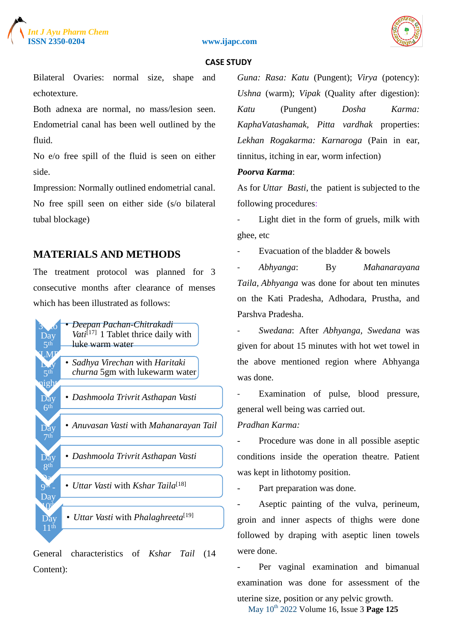

**ISSN 2350-0204 www.ijapc.com**



#### **CASE STUDY**

Bilateral Ovaries: normal size, shape and echotexture.

Both adnexa are normal, no mass/lesion seen. Endometrial canal has been well outlined by the fluid.

No e/o free spill of the fluid is seen on either side.

Impression: Normally outlined endometrial canal.

No free spill seen on either side (s/o bilateral tubal blockage)

### **MATERIALS AND METHODS**

The treatment protocol was planned for 3 consecutive months after clearance of menses which has been illustrated as follows:



General characteristics of *Kshar Tail* (14 Content):

*Guna: Rasa: Katu* (Pungent); *Virya* (potency): *Ushna* (warm); *Vipak* (Quality after digestion): *Katu* (Pungent) *Dosha Karma: KaphaVatashamak, Pitta vardhak* properties: *Lekhan Rogakarma: Karnaroga* (Pain in ear, tinnitus, itching in ear, worm infection)

#### *Poorva Karma*:

As for *Uttar Basti*, the patient is subjected to the following procedures:

Light diet in the form of gruels, milk with ghee, etc

Evacuation of the bladder & bowels

- *Abhyanga*: By *Mahanarayana Taila, Abhyanga* was done for about ten minutes on the Kati Pradesha, Adhodara, Prustha, and Parshva Pradesha.

- *Swedana*: After *Abhyanga, Swedana* was given for about 15 minutes with hot wet towel in the above mentioned region where Abhyanga was done.

Examination of pulse, blood pressure, general well being was carried out.

#### *Pradhan Karma:*

Procedure was done in all possible aseptic conditions inside the operation theatre. Patient was kept in lithotomy position.

- Part preparation was done.

Aseptic painting of the vulva, perineum, groin and inner aspects of thighs were done followed by draping with aseptic linen towels were done.

Per vaginal examination and bimanual examination was done for assessment of the

May 10th 2022 Volume 16, Issue 3 **Page 125** uterine size, position or any pelvic growth.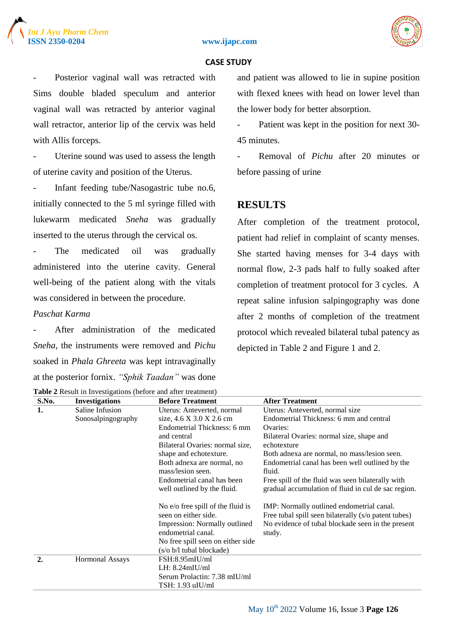#### **ISSN 2350-0204 www.ijapc.com**



#### **CASE STUDY**

Posterior vaginal wall was retracted with Sims double bladed speculum and anterior vaginal wall was retracted by anterior vaginal wall retractor, anterior lip of the cervix was held with Allis forceps.

Uterine sound was used to assess the length of uterine cavity and position of the Uterus.

Infant feeding tube/Nasogastric tube no.6, initially connected to the 5 ml syringe filled with lukewarm medicated *Sneha* was gradually inserted to the uterus through the cervical os.

The medicated oil was gradually administered into the uterine cavity. General well-being of the patient along with the vitals was considered in between the procedure.

### *Paschat Karma*

After administration of the medicated *Sneha*, the instruments were removed and *Pichu* soaked in *Phala Ghreeta* was kept intravaginally at the posterior fornix. *"Sphik Taadan"* was done **Table 2** Result in Investigations (before and after treatment) and patient was allowed to lie in supine position with flexed knees with head on lower level than the lower body for better absorption.

- Patient was kept in the position for next 30- 45 minutes.

- Removal of *Pichu* after 20 minutes or before passing of urine

### **RESULTS**

After completion of the treatment protocol, patient had relief in complaint of scanty menses. She started having menses for 3-4 days with normal flow, 2-3 pads half to fully soaked after completion of treatment protocol for 3 cycles. A repeat saline infusion salpingography was done after 2 months of completion of the treatment protocol which revealed bilateral tubal patency as depicted in Table 2 and Figure 1 and 2.

| S.No.            | <b>Investigations</b>                    | <b>Before Treatment</b>                                   | <b>After Treatment</b>                                                                            |  |  |
|------------------|------------------------------------------|-----------------------------------------------------------|---------------------------------------------------------------------------------------------------|--|--|
| 1.               | Saline Infusion                          | Uterus: Anteverted, normal                                | Uterus: Anteverted, normal size                                                                   |  |  |
|                  | Sonosalpingography                       | size, 4.6 X 3.0 X 2.6 cm                                  | Endometrial Thickness: 6 mm and central                                                           |  |  |
|                  |                                          | Endometrial Thickness: 6 mm                               | Ovaries:                                                                                          |  |  |
|                  |                                          | and central                                               | Bilateral Ovaries: normal size, shape and                                                         |  |  |
|                  |                                          | Bilateral Ovaries: normal size,                           | echotexture                                                                                       |  |  |
|                  |                                          | shape and echotexture.                                    | Both adnexa are normal, no mass/lesion seen.                                                      |  |  |
|                  |                                          | Both adnexa are normal, no<br>mass/lesion seen.           | Endometrial canal has been well outlined by the<br>fluid.                                         |  |  |
|                  |                                          | Endometrial canal has been                                | Free spill of the fluid was seen bilaterally with                                                 |  |  |
|                  |                                          | well outlined by the fluid.                               | gradual accumulation of fluid in cul de sac region.                                               |  |  |
|                  |                                          | No e/o free spill of the fluid is<br>seen on either side. | IMP: Normally outlined endometrial canal.<br>Free tubal spill seen bilaterally (s/o patent tubes) |  |  |
|                  |                                          | Impression: Normally outlined<br>endometrial canal.       | No evidence of tubal blockade seen in the present<br>study.                                       |  |  |
|                  |                                          | No free spill seen on either side                         |                                                                                                   |  |  |
|                  |                                          | (s/o b/l tubal blockade)                                  |                                                                                                   |  |  |
| $\overline{2}$ . | <b>Hormonal Assays</b><br>FSH:8.95mIU/ml |                                                           |                                                                                                   |  |  |
|                  |                                          | LH: 8.24mIU/ml                                            |                                                                                                   |  |  |
|                  |                                          | Serum Prolactin: 7.38 mIU/ml                              |                                                                                                   |  |  |
|                  |                                          | TSH: 1.93 uIU/ml                                          |                                                                                                   |  |  |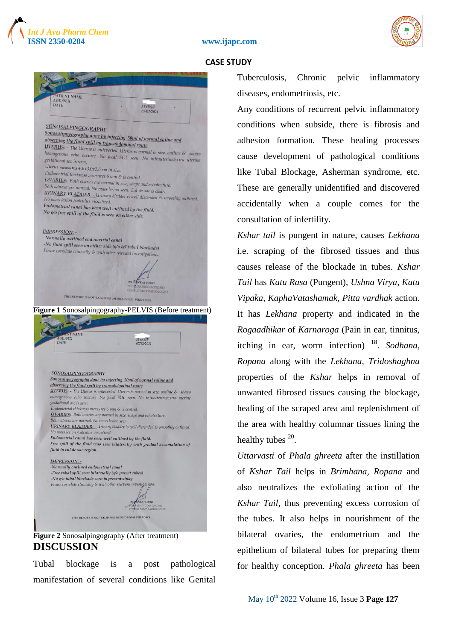



**ATIENT NAME** AGE/SEX<br>DATE 31YRS/F  $07/07/2021$ **SONOSALPINGOGRAPHY** Sonosalipngography done by injecting 50ml of normal saline and<br>observing the fluid spill by transablomination of normal saline and observing the fluid spill by transabdominal route<br>abserving the fluid spill by transabdominal route **UTERUS:** The Uterus is antervered, Uterus is normal in size, outline  $\&$  shows<br>homogenous echo texture . No focal SOI homogenous echo texture .No focal SOL seen. No intrauterine/extra uterine<br>gestational sac is seen. No focal SOL seen. No intrauterine/extra uterine gestational sac is seen. Uterus measures  $4.6x3.0x2.6$  cm in size. Endometrial thickness measures 6 mm size.<br>
Chalometrial thickness measures 6 mm & is central.<br>
OVARIES:- Both maximum **OVARIES:** The nuckness measures 6 mm & is central.<br>
Both adnexa are normal in size, shape and echotexture. **EVARYES:** Both ovaries are normal in size, shape and echotexture<br>Both adnexa are normal. No mass lesion seen. Cul-de-sac is clear.<br>**URINARY BLADDER**: - Urinon kleats. **URINARY BLADVIRE:** No mass lesion seen. Cul-de-sac is clear.<br>No mass lesion /calculus visualized bladder is well distended & smoothly outlined.<br>No mass lesion /calculus visualized No mass lesion /calculus visualized. Endometrial canal has been well outlined by the fluid.<br>No elo free and has been well outlined by the fluid. No e/o free spill of the fluid is seen on either side. **IMPRESSION** - Normally outlined endometrial canal -No fluid spill seen on either side  $(s/\sigma b/1$  tubal blockade) Please correlate clinically & with other relevant investigations. KAJ SOOD THIS REPORT IS NOT VALID FOR MEDICOLEGAL PURPOSES. **Figure 1** Sonosalpingography-PELVIS (Before treatment) THE MANUSCRIPT 31YRS/F<br>07/12/2021 SONOSALPINGOGRAPHY Sonosalipngography done by injecting 50ml of normal saline and observing the fluid spill by transabdominal route **UTERUS:** - The Uterus is anteverted. Uterus is normal in size, outline & shows homogenous echo texture .No focal SOL seen. No intrauterine/extra uterine gestational sac is seen. Endometrial thickness measures 6 mm & is central. OVARIES:- Both ovaries are normal in size, shape and echotexture. Both adnexa are normal. No mass lesion seen URINARY BLADDER: - Urinary bladder is well distended & smoothly outlined. mass lesion /calculus visualized Endometrial canal has been well outlined by the fluid. Free spill of the fluid was seen bilaterally with gradual accumulation of fluid in cul de sac region. **IMPRESSION: -**-Normally outlined endometrial canal -Free tubal spill seen bilaterally (s/o patent tubes) -No e/o tubal blockade seen in present study Please correlate clinically & with other relevant investigation THIS REPORT IS NOT VALID FOR MEDICOLEGAL PURPOSES.

**Figure 2** Sonosalpingography (After treatment) **DISCUSSION**

Tubal blockage is a post pathological manifestation of several conditions like Genital Tuberculosis, Chronic pelvic inflammatory diseases, endometriosis, etc.

Any conditions of recurrent pelvic inflammatory conditions when subside, there is fibrosis and adhesion formation. These healing processes cause development of pathological conditions like Tubal Blockage, Asherman syndrome, etc. These are generally unidentified and discovered accidentally when a couple comes for the consultation of infertility.

*Kshar tail* is pungent in nature, causes *Lekhana* i.e. scraping of the fibrosed tissues and thus causes release of the blockade in tubes. *Kshar Tail* has *Katu Rasa* (Pungent), *Ushna Virya, Katu Vipaka, KaphaVatashamak, Pitta vardhak* action. It has *Lekhana* property and indicated in the *Rogaadhikar* of *Karnaroga* (Pain in ear, tinnitus, itching in ear, worm infection) <sup>18</sup>. Sodhana, *Ropana* along with the *Lekhana, Tridoshaghna* properties of the *Kshar* helps in removal of unwanted fibrosed tissues causing the blockage, healing of the scraped area and replenishment of the area with healthy columnar tissues lining the healthy tubes  $20$ .

*Uttarvasti* of *Phala ghreeta* after the instillation of *Kshar Tail* helps in *Brimhana, Ropana* and also neutralizes the exfoliating action of the *Kshar Tail*, thus preventing excess corrosion of the tubes. It also helps in nourishment of the bilateral ovaries, the endometrium and the epithelium of bilateral tubes for preparing them for healthy conception. *Phala ghreeta* has been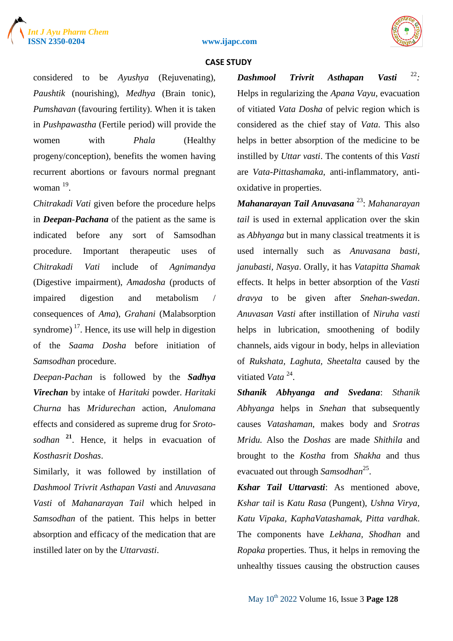





considered to be *Ayushya* (Rejuvenating), *Paushtik* (nourishing), *Medhya* (Brain tonic), *Pumshavan* (favouring fertility). When it is taken in *Pushpawastha* (Fertile period) will provide the women with *Phala* (Healthy progeny/conception), benefits the women having recurrent abortions or favours normal pregnant woman  $19$ .

*Chitrakadi Vati* given before the procedure helps in *Deepan-Pachana* of the patient as the same is indicated before any sort of Samsodhan procedure. Important therapeutic uses of *Chitrakadi Vati* include of *Agnimandya* (Digestive impairment), *Amadosha* (products of impaired digestion and metabolism / consequences of *Ama*), *Grahani* (Malabsorption syndrome)<sup> $17$ </sup>. Hence, its use will help in digestion of the *Saama Dosha* before initiation of *Samsodhan* procedure.

*Deepan-Pachan* is followed by the *Sadhya Virechan* by intake of *Haritaki* powder. *Haritaki Churna* has *Mridurechan* action, *Anulomana* effects and considered as supreme drug for *Srotosodhan* **<sup>21</sup>**. Hence, it helps in evacuation of *Kosthasrit Doshas*.

Similarly, it was followed by instillation of *Dashmool Trivrit Asthapan Vasti* and *Anuvasana Vasti* of *Mahanarayan Tail* which helped in *Samsodhan* of the patient. This helps in better absorption and efficacy of the medication that are instilled later on by the *Uttarvasti*.

*Dashmool Trivrit Asthapan Vasti :* Helps in regularizing the *Apana Vayu*, evacuation of vitiated *Vata Dosha* of pelvic region which is considered as the chief stay of *Vata*. This also helps in better absorption of the medicine to be instilled by *Uttar vasti*. The contents of this *Vasti* are *Vata-Pittashamaka*, anti-inflammatory, antioxidative in properties.

*Mahanarayan Tail Anuvasana* <sup>23</sup> : *Mahanarayan tail* is used in external application over the skin as *Abhyanga* but in many classical treatments it is used internally such as *Anuvasana basti, janubasti, Nasya*. Orally, it has *Vatapitta Shamak* effects. It helps in better absorption of the *Vasti dravya* to be given after *Snehan-swedan*. *Anuvasan Vasti* after instillation of *Niruha vasti* helps in lubrication, smoothening of bodily channels, aids vigour in body, helps in alleviation of *Rukshata, Laghuta, Sheetalta* caused by the vitiated Vata<sup>24</sup>.

*Sthanik Abhyanga and Svedana*: *Sthanik Abhyanga* helps in *Snehan* that subsequently causes *Vatashaman*, makes body and *Srotras Mridu.* Also the *Doshas* are made *Shithila* and brought to the *Kostha* from *Shakha* and thus evacuated out through *Samsodhan*<sup>25</sup>.

*Kshar Tail Uttarvasti*: As mentioned above, *Kshar tail* is *Katu Rasa* (Pungent), *Ushna Virya, Katu Vipaka, KaphaVatashamak, Pitta vardhak*. The components have *Lekhana, Shodhan* and *Ropaka* properties. Thus, it helps in removing the unhealthy tissues causing the obstruction causes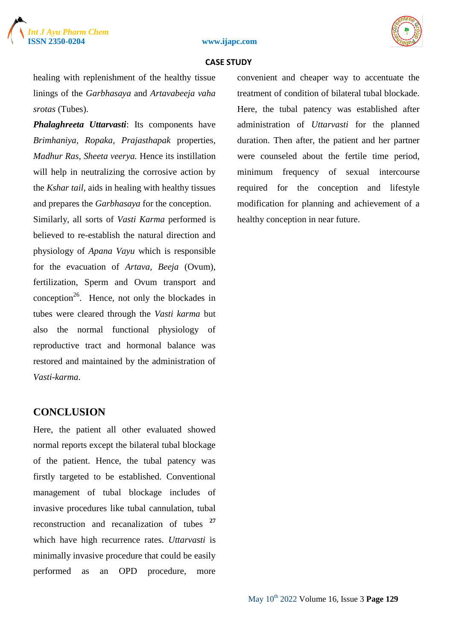





healing with replenishment of the healthy tissue linings of the *Garbhasaya* and *Artavabeeja vaha srotas* (Tubes).

*Phalaghreeta Uttarvasti*: Its components have *Brimhaniya, Ropaka, Prajasthapak* properties, *Madhur Ras, Sheeta veerya.* Hence its instillation will help in neutralizing the corrosive action by the *Kshar tail*, aids in healing with healthy tissues and prepares the *Garbhasaya* for the conception. Similarly, all sorts of *Vasti Karma* performed is believed to re-establish the natural direction and physiology of *Apana Vayu* which is responsible for the evacuation of *Artava, Beeja* (Ovum), fertilization, Sperm and Ovum transport and conception<sup>26</sup>. Hence, not only the blockades in tubes were cleared through the *Vasti karma* but also the normal functional physiology of reproductive tract and hormonal balance was restored and maintained by the administration of *Vasti-karma*.

### **CONCLUSION**

Here, the patient all other evaluated showed normal reports except the bilateral tubal blockage of the patient. Hence, the tubal patency was firstly targeted to be established. Conventional management of tubal blockage includes of invasive procedures like tubal cannulation, tubal reconstruction and recanalization of tubes **<sup>27</sup>** which have high recurrence rates. *Uttarvasti* is minimally invasive procedure that could be easily performed as an OPD procedure, more

convenient and cheaper way to accentuate the treatment of condition of bilateral tubal blockade. Here, the tubal patency was established after administration of *Uttarvasti* for the planned duration. Then after, the patient and her partner were counseled about the fertile time period, minimum frequency of sexual intercourse required for the conception and lifestyle modification for planning and achievement of a healthy conception in near future.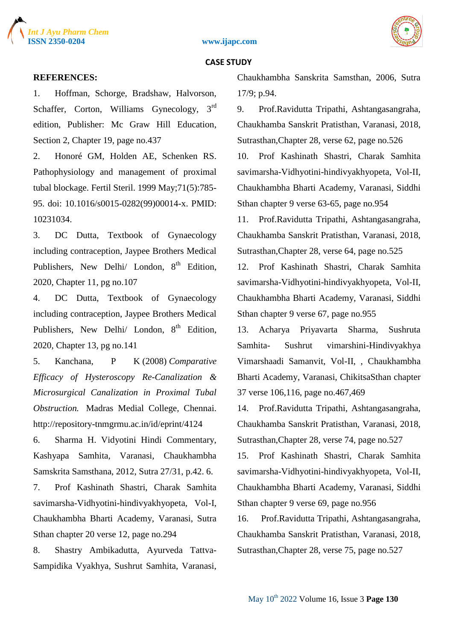





#### **REFERENCES:**

1. Hoffman, Schorge, Bradshaw, Halvorson, Schaffer, Corton, Williams Gynecology, 3<sup>rd</sup> edition, Publisher: Mc Graw Hill Education, Section 2, Chapter 19, page no.437

2. Honoré GM, Holden AE, Schenken RS. Pathophysiology and management of proximal tubal blockage. Fertil Steril. 1999 May;71(5):785- 95. doi: 10.1016/s0015-0282(99)00014-x. PMID: 10231034.

3. DC Dutta, Textbook of Gynaecology including contraception, Jaypee Brothers Medical Publishers, New Delhi/ London, 8<sup>th</sup> Edition, 2020, Chapter 11, pg no.107

4. DC Dutta, Textbook of Gynaecology including contraception, Jaypee Brothers Medical Publishers, New Delhi/ London, 8<sup>th</sup> Edition. 2020, Chapter 13, pg no.141

5. Kanchana, P K (2008) *Comparative Efficacy of Hysteroscopy Re-Canalization & Microsurgical Canalization in Proximal Tubal Obstruction.* Madras Medial College, Chennai. http://repository-tnmgrmu.ac.in/id/eprint/4124

6. Sharma H. Vidyotini Hindi Commentary, Kashyapa Samhita, Varanasi, Chaukhambha Samskrita Samsthana, 2012, Sutra 27/31, p.42. 6.

7. Prof Kashinath Shastri, Charak Samhita savimarsha-Vidhyotini-hindivyakhyopeta, Vol-I, Chaukhambha Bharti Academy, Varanasi, Sutra Sthan chapter 20 verse 12, page no.294

8. Shastry Ambikadutta, Ayurveda Tattva-Sampidika Vyakhya, Sushrut Samhita, Varanasi, Chaukhambha Sanskrita Samsthan, 2006, Sutra 17/9; p.94.

9. Prof.Ravidutta Tripathi, Ashtangasangraha, Chaukhamba Sanskrit Pratisthan, Varanasi, 2018, Sutrasthan,Chapter 28, verse 62, page no.526

10. Prof Kashinath Shastri, Charak Samhita savimarsha-Vidhyotini-hindivyakhyopeta, Vol-II, Chaukhambha Bharti Academy, Varanasi, Siddhi Sthan chapter 9 verse 63-65, page no.954

11. Prof.Ravidutta Tripathi, Ashtangasangraha, Chaukhamba Sanskrit Pratisthan, Varanasi, 2018, Sutrasthan,Chapter 28, verse 64, page no.525

12. Prof Kashinath Shastri, Charak Samhita savimarsha-Vidhyotini-hindivyakhyopeta, Vol-II, Chaukhambha Bharti Academy, Varanasi, Siddhi Sthan chapter 9 verse 67, page no.955

13. Acharya Priyavarta Sharma, Sushruta Samhita- Sushrut vimarshini-Hindivyakhya Vimarshaadi Samanvit, Vol-II, , Chaukhambha Bharti Academy, Varanasi, ChikitsaSthan chapter 37 verse 106,116, page no.467,469

14. Prof.Ravidutta Tripathi, Ashtangasangraha, Chaukhamba Sanskrit Pratisthan, Varanasi, 2018, Sutrasthan,Chapter 28, verse 74, page no.527

15. Prof Kashinath Shastri, Charak Samhita savimarsha-Vidhyotini-hindivyakhyopeta, Vol-II, Chaukhambha Bharti Academy, Varanasi, Siddhi Sthan chapter 9 verse 69, page no.956

16. Prof.Ravidutta Tripathi, Ashtangasangraha, Chaukhamba Sanskrit Pratisthan, Varanasi, 2018, Sutrasthan,Chapter 28, verse 75, page no.527